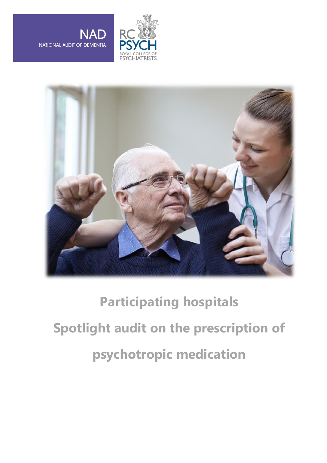





## **Participating hospitals Spotlight audit on the prescription of psychotropic medication**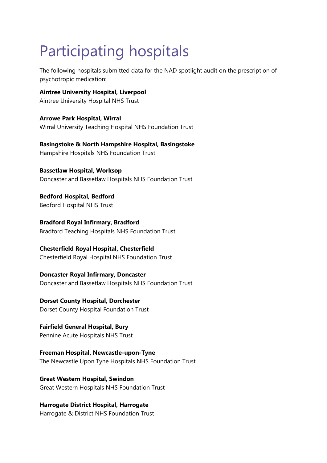## Participating hospitals

The following hospitals submitted data for the NAD spotlight audit on the prescription of psychotropic medication:

**Aintree University Hospital, Liverpool** Aintree University Hospital NHS Trust

**Arrowe Park Hospital, Wirral** Wirral University Teaching Hospital NHS Foundation Trust

**Basingstoke & North Hampshire Hospital, Basingstoke** Hampshire Hospitals NHS Foundation Trust

**Bassetlaw Hospital, Worksop** Doncaster and Bassetlaw Hospitals NHS Foundation Trust

**Bedford Hospital, Bedford** Bedford Hospital NHS Trust

**Bradford Royal Infirmary, Bradford** Bradford Teaching Hospitals NHS Foundation Trust

## **Chesterfield Royal Hospital, Chesterfield**

Chesterfield Royal Hospital NHS Foundation Trust

**Doncaster Royal Infirmary, Doncaster** Doncaster and Bassetlaw Hospitals NHS Foundation Trust

**Dorset County Hospital, Dorchester** Dorset County Hospital Foundation Trust

**Fairfield General Hospital, Bury** Pennine Acute Hospitals NHS Trust

**Freeman Hospital, Newcastle-upon-Tyne** The Newcastle Upon Tyne Hospitals NHS Foundation Trust

**Great Western Hospital, Swindon** Great Western Hospitals NHS Foundation Trust

**Harrogate District Hospital, Harrogate** Harrogate & District NHS Foundation Trust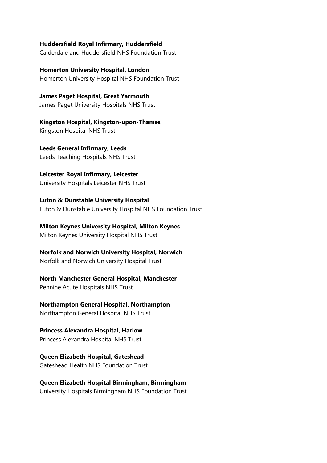**Huddersfield Royal Infirmary, Huddersfield**

Calderdale and Huddersfield NHS Foundation Trust

**Homerton University Hospital, London** Homerton University Hospital NHS Foundation Trust

**James Paget Hospital, Great Yarmouth** James Paget University Hospitals NHS Trust

**Kingston Hospital, Kingston-upon-Thames** Kingston Hospital NHS Trust

**Leeds General Infirmary, Leeds** Leeds Teaching Hospitals NHS Trust

**Leicester Royal Infirmary, Leicester** University Hospitals Leicester NHS Trust

**Luton & Dunstable University Hospital** Luton & Dunstable University Hospital NHS Foundation Trust

**Milton Keynes University Hospital, Milton Keynes** Milton Keynes University Hospital NHS Trust

**Norfolk and Norwich University Hospital, Norwich** Norfolk and Norwich University Hospital Trust

**North Manchester General Hospital, Manchester**

Pennine Acute Hospitals NHS Trust

**Northampton General Hospital, Northampton** Northampton General Hospital NHS Trust

**Princess Alexandra Hospital, Harlow** Princess Alexandra Hospital NHS Trust

**Queen Elizabeth Hospital, Gateshead** Gateshead Health NHS Foundation Trust

**Queen Elizabeth Hospital Birmingham, Birmingham**

University Hospitals Birmingham NHS Foundation Trust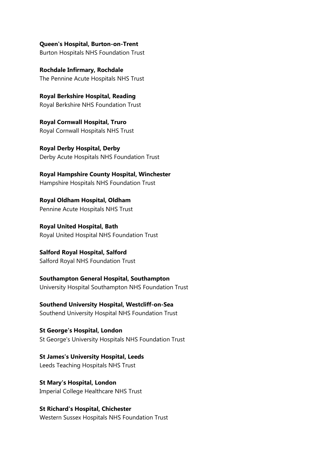**Queen's Hospital, Burton-on-Trent** Burton Hospitals NHS Foundation Trust

**Rochdale Infirmary, Rochdale** The Pennine Acute Hospitals NHS Trust

**Royal Berkshire Hospital, Reading** Royal Berkshire NHS Foundation Trust

**Royal Cornwall Hospital, Truro** Royal Cornwall Hospitals NHS Trust

**Royal Derby Hospital, Derby** Derby Acute Hospitals NHS Foundation Trust

**Royal Hampshire County Hospital, Winchester** Hampshire Hospitals NHS Foundation Trust

**Royal Oldham Hospital, Oldham** Pennine Acute Hospitals NHS Trust

**Royal United Hospital, Bath** Royal United Hospital NHS Foundation Trust

**Salford Royal Hospital, Salford** Salford Royal NHS Foundation Trust

**Southampton General Hospital, Southampton** University Hospital Southampton NHS Foundation Trust

**Southend University Hospital, Westcliff-on-Sea** Southend University Hospital NHS Foundation Trust

**St George's Hospital, London** St George's University Hospitals NHS Foundation Trust

**St James's University Hospital, Leeds** Leeds Teaching Hospitals NHS Trust

**St Mary's Hospital, London** Imperial College Healthcare NHS Trust

**St Richard's Hospital, Chichester** Western Sussex Hospitals NHS Foundation Trust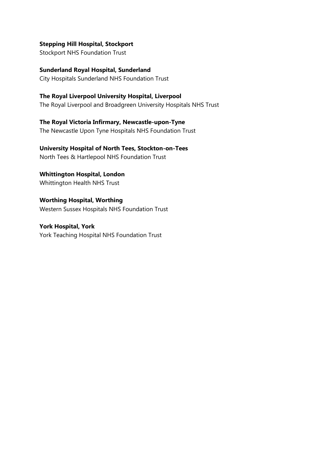## **Stepping Hill Hospital, Stockport**

Stockport NHS Foundation Trust

**Sunderland Royal Hospital, Sunderland** City Hospitals Sunderland NHS Foundation Trust

**The Royal Liverpool University Hospital, Liverpool**

The Royal Liverpool and Broadgreen University Hospitals NHS Trust

**The Royal Victoria Infirmary, Newcastle-upon-Tyne** The Newcastle Upon Tyne Hospitals NHS Foundation Trust

**University Hospital of North Tees, Stockton-on-Tees** North Tees & Hartlepool NHS Foundation Trust

**Whittington Hospital, London** Whittington Health NHS Trust

**Worthing Hospital, Worthing** Western Sussex Hospitals NHS Foundation Trust

**York Hospital, York** York Teaching Hospital NHS Foundation Trust